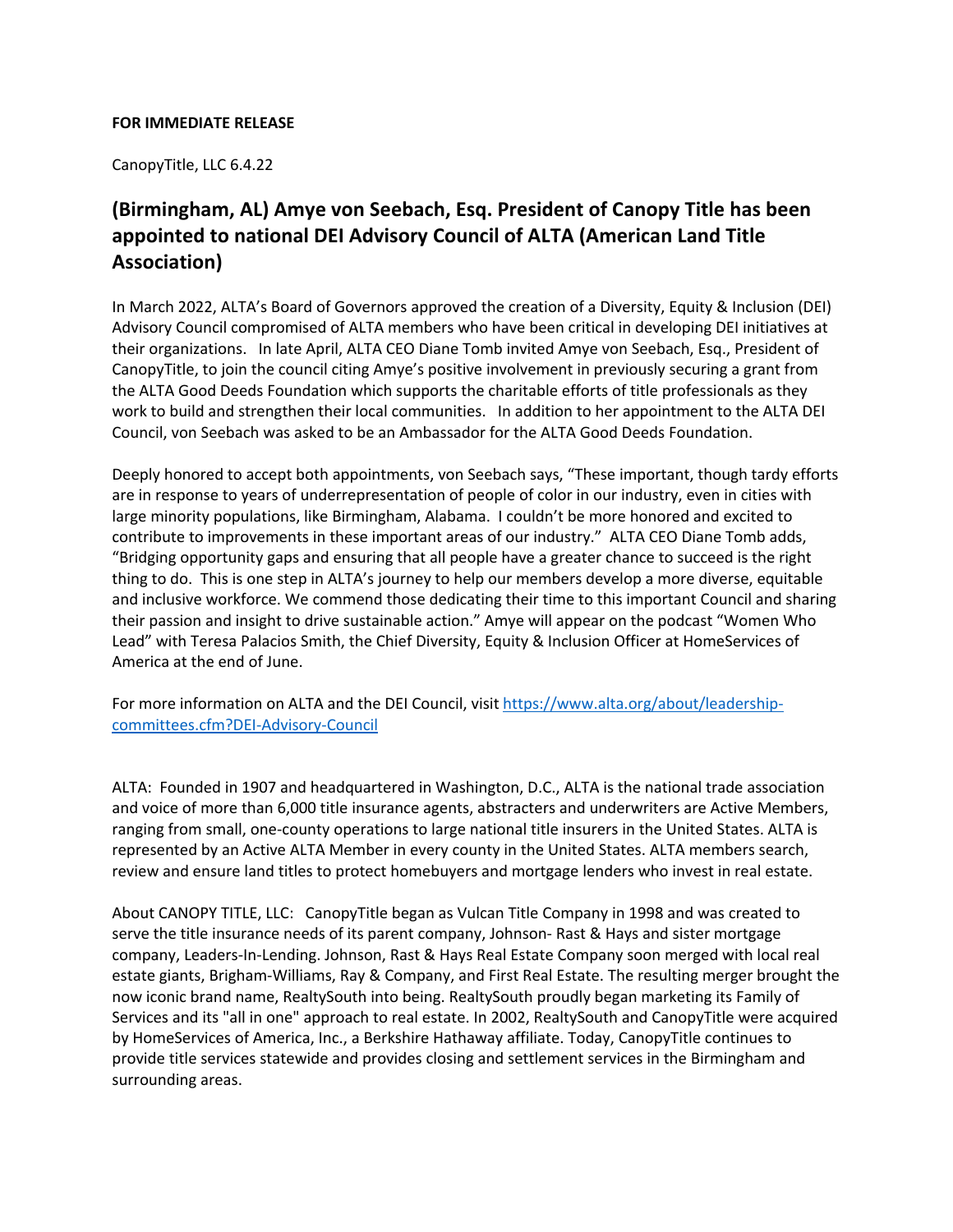## **FOR IMMEDIATE RELEASE**

CanopyTitle, LLC 6.4.22

## **(Birmingham, AL) Amye von Seebach, Esq. President of Canopy Title has been appointed to national DEI Advisory Council of ALTA (American Land Title Association)**

In March 2022, ALTA's Board of Governors approved the creation of a Diversity, Equity & Inclusion (DEI) Advisory Council compromised of ALTA members who have been critical in developing DEI initiatives at their organizations. In late April, ALTA CEO Diane Tomb invited Amye von Seebach, Esq., President of CanopyTitle, to join the council citing Amye's positive involvement in previously securing a grant from the ALTA Good Deeds Foundation which supports the charitable efforts of title professionals as they work to build and strengthen their local communities. In addition to her appointment to the ALTA DEI Council, von Seebach was asked to be an Ambassador for the ALTA Good Deeds Foundation.

Deeply honored to accept both appointments, von Seebach says, "These important, though tardy efforts are in response to years of underrepresentation of people of color in our industry, even in cities with large minority populations, like Birmingham, Alabama. I couldn't be more honored and excited to contribute to improvements in these important areas of our industry." ALTA CEO Diane Tomb adds, "Bridging opportunity gaps and ensuring that all people have a greater chance to succeed is the right thing to do. This is one step in ALTA's journey to help our members develop a more diverse, equitable and inclusive workforce. We commend those dedicating their time to this important Council and sharing their passion and insight to drive sustainable action." Amye will appear on the podcast "Women Who Lead" with Teresa Palacios Smith, the Chief Diversity, Equity & Inclusion Officer at HomeServices of America at the end of June.

For more information on ALTA and the DEI Council, visit https://www.alta.org/about/leadershipcommittees.cfm?DEI-Advisory-Council

ALTA: Founded in 1907 and headquartered in Washington, D.C., ALTA is the national trade association and voice of more than 6,000 title insurance agents, abstracters and underwriters are Active Members, ranging from small, one-county operations to large national title insurers in the United States. ALTA is represented by an Active ALTA Member in every county in the United States. ALTA members search, review and ensure land titles to protect homebuyers and mortgage lenders who invest in real estate.

About CANOPY TITLE, LLC: CanopyTitle began as Vulcan Title Company in 1998 and was created to serve the title insurance needs of its parent company, Johnson- Rast & Hays and sister mortgage company, Leaders-In-Lending. Johnson, Rast & Hays Real Estate Company soon merged with local real estate giants, Brigham-Williams, Ray & Company, and First Real Estate. The resulting merger brought the now iconic brand name, RealtySouth into being. RealtySouth proudly began marketing its Family of Services and its "all in one" approach to real estate. In 2002, RealtySouth and CanopyTitle were acquired by HomeServices of America, Inc., a Berkshire Hathaway affiliate. Today, CanopyTitle continues to provide title services statewide and provides closing and settlement services in the Birmingham and surrounding areas.